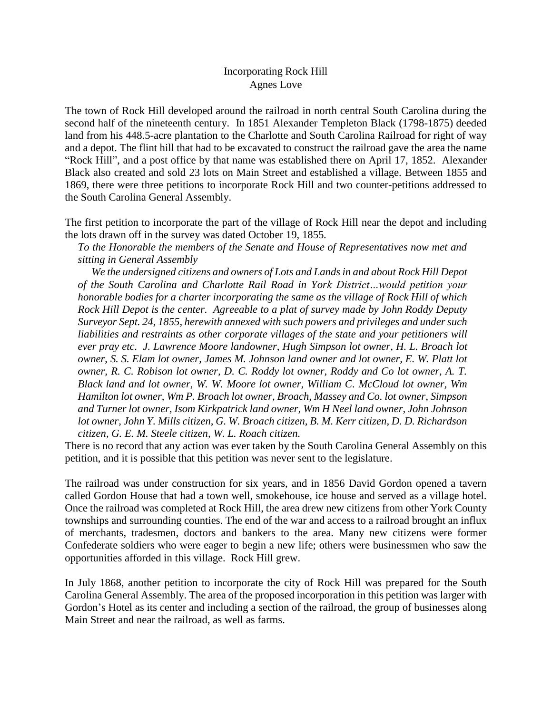## Incorporating Rock Hill Agnes Love

The town of Rock Hill developed around the railroad in north central South Carolina during the second half of the nineteenth century. In 1851 Alexander Templeton Black (1798-1875) deeded land from his 448.5-acre plantation to the Charlotte and South Carolina Railroad for right of way and a depot. The flint hill that had to be excavated to construct the railroad gave the area the name "Rock Hill", and a post office by that name was established there on April 17, 1852. Alexander Black also created and sold 23 lots on Main Street and established a village. Between 1855 and 1869, there were three petitions to incorporate Rock Hill and two counter-petitions addressed to the South Carolina General Assembly.

The first petition to incorporate the part of the village of Rock Hill near the depot and including the lots drawn off in the survey was dated October 19, 1855*.*

*To the Honorable the members of the Senate and House of Representatives now met and sitting in General Assembly* 

 *We the undersigned citizens and owners of Lots and Lands in and about Rock Hill Depot of the South Carolina and Charlotte Rail Road in York District…would petition your honorable bodies for a charter incorporating the same as the village of Rock Hill of which Rock Hill Depot is the center. Agreeable to a plat of survey made by John Roddy Deputy Surveyor Sept. 24, 1855, herewith annexed with such powers and privileges and under such liabilities and restraints as other corporate villages of the state and your petitioners will ever pray etc. J. Lawrence Moore landowner, Hugh Simpson lot owner, H. L. Broach lot owner, S. S. Elam lot owner, James M. Johnson land owner and lot owner, E. W. Platt lot owner, R. C. Robison lot owner, D. C. Roddy lot owner, Roddy and Co lot owner, A. T. Black land and lot owner, W. W. Moore lot owner, William C. McCloud lot owner, Wm Hamilton lot owner, Wm P. Broach lot owner, Broach, Massey and Co. lot owner, Simpson and Turner lot owner, Isom Kirkpatrick land owner, Wm H Neel land owner, John Johnson lot owner, John Y. Mills citizen, G. W. Broach citizen, B. M. Kerr citizen, D. D. Richardson citizen, G. E. M. Steele citizen, W. L. Roach citizen.*

There is no record that any action was ever taken by the South Carolina General Assembly on this petition, and it is possible that this petition was never sent to the legislature.

The railroad was under construction for six years, and in 1856 David Gordon opened a tavern called Gordon House that had a town well, smokehouse, ice house and served as a village hotel. Once the railroad was completed at Rock Hill, the area drew new citizens from other York County townships and surrounding counties. The end of the war and access to a railroad brought an influx of merchants, tradesmen, doctors and bankers to the area. Many new citizens were former Confederate soldiers who were eager to begin a new life; others were businessmen who saw the opportunities afforded in this village. Rock Hill grew.

In July 1868, another petition to incorporate the city of Rock Hill was prepared for the South Carolina General Assembly. The area of the proposed incorporation in this petition was larger with Gordon's Hotel as its center and including a section of the railroad, the group of businesses along Main Street and near the railroad, as well as farms.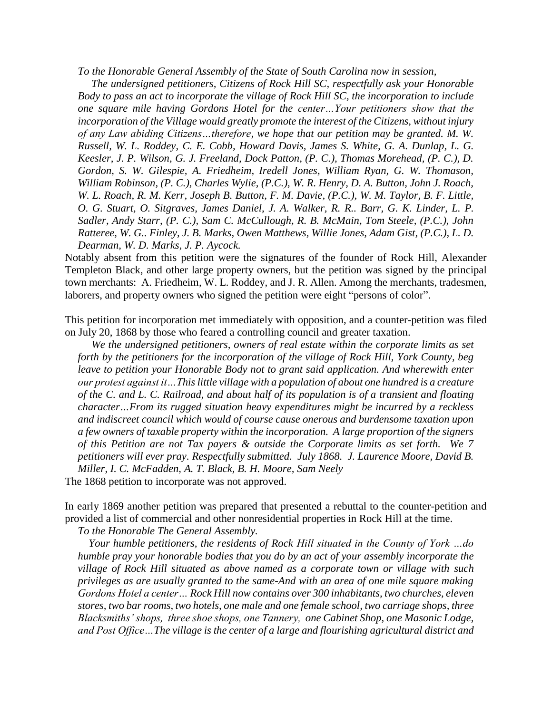*To the Honorable General Assembly of the State of South Carolina now in session,*

 *The undersigned petitioners, Citizens of Rock Hill SC, respectfully ask your Honorable Body to pass an act to incorporate the village of Rock Hill SC, the incorporation to include one square mile having Gordons Hotel for the center…Your petitioners show that the incorporation of the Village would greatly promote the interest of the Citizens, without injury of any Law abiding Citizens…therefore, we hope that our petition may be granted. M. W. Russell, W. L. Roddey, C. E. Cobb, Howard Davis, James S. White, G. A. Dunlap, L. G. Keesler, J. P. Wilson, G. J. Freeland, Dock Patton, (P. C.), Thomas Morehead, (P. C.), D. Gordon, S. W. Gilespie, A. Friedheim, Iredell Jones, William Ryan, G. W. Thomason, William Robinson, (P. C.), Charles Wylie, (P.C.), W. R. Henry, D. A. Button, John J. Roach, W. L. Roach, R. M. Kerr, Joseph B. Button, F. M. Davie, (P.C.), W. M. Taylor, B. F. Little, O. G. Stuart, O. Sitgraves, James Daniel, J. A. Walker, R. R.. Barr, G. K. Linder, L. P. Sadler, Andy Starr, (P. C.), Sam C. McCullough, R. B. McMain, Tom Steele, (P.C.), John Ratteree, W. G.. Finley, J. B. Marks, Owen Matthews, Willie Jones, Adam Gist, (P.C.), L. D. Dearman, W. D. Marks, J. P. Aycock.*

Notably absent from this petition were the signatures of the founder of Rock Hill, Alexander Templeton Black, and other large property owners, but the petition was signed by the principal town merchants: A. Friedheim, W. L. Roddey, and J. R. Allen. Among the merchants, tradesmen, laborers, and property owners who signed the petition were eight "persons of color".

This petition for incorporation met immediately with opposition, and a counter-petition was filed on July 20, 1868 by those who feared a controlling council and greater taxation.

 *We the undersigned petitioners, owners of real estate within the corporate limits as set forth by the petitioners for the incorporation of the village of Rock Hill, York County, beg leave to petition your Honorable Body not to grant said application. And wherewith enter our protest against it…This little village with a population of about one hundred is a creature of the C. and L. C. Railroad, and about half of its population is of a transient and floating character…From its rugged situation heavy expenditures might be incurred by a reckless and indiscreet council which would of course cause onerous and burdensome taxation upon a few owners of taxable property within the incorporation. A large proportion of the signers of this Petition are not Tax payers & outside the Corporate limits as set forth. We 7 petitioners will ever pray. Respectfully submitted. July 1868. J. Laurence Moore, David B. Miller, I. C. McFadden, A. T. Black, B. H. Moore, Sam Neely*

The 1868 petition to incorporate was not approved.

In early 1869 another petition was prepared that presented a rebuttal to the counter-petition and provided a list of commercial and other nonresidential properties in Rock Hill at the time.

*To the Honorable The General Assembly.* 

 *Your humble petitioners, the residents of Rock Hill situated in the County of York …do humble pray your honorable bodies that you do by an act of your assembly incorporate the village of Rock Hill situated as above named as a corporate town or village with such privileges as are usually granted to the same-And with an area of one mile square making Gordons Hotel a center… Rock Hill now contains over 300 inhabitants, two churches, eleven stores, two bar rooms, two hotels, one male and one female school, two carriage shops, three Blacksmiths' shops, three shoe shops, one Tannery, one Cabinet Shop, one Masonic Lodge, and Post Office…The village is the center of a large and flourishing agricultural district and*